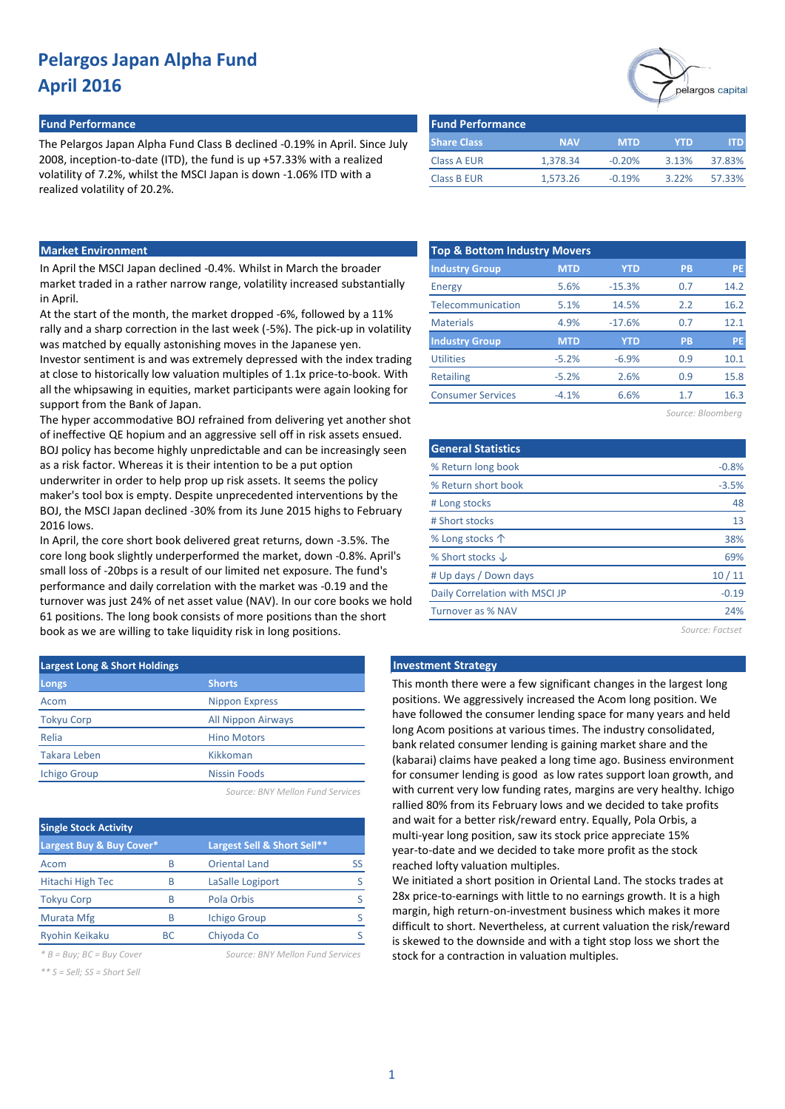#### **Fund Performance Fund Performance**

The Pelargos Japan Alpha Fund Class B declined -0.19% in April. Since July 2008, inception-to-date (ITD), the fund is up +57.33% with a realized volatility of 7.2%, whilst the MSCI Japan is down -1.06% ITD with a realized volatility of 20.2%.

|                         |            |            |            | pelargos capital |
|-------------------------|------------|------------|------------|------------------|
| <b>Fund Performance</b> |            |            |            |                  |
| <b>Share Class</b>      | <b>NAV</b> | <b>MTD</b> | <b>YTD</b> | <b>ITD</b>       |
| <b>Class A EUR</b>      | 1.378.34   | $-0.20%$   | 3.13%      | 37.83%           |
| <b>Class B EUR</b>      | 1,573.26   | $-0.19%$   | 3.22%      | 57.33%           |

### **Market Environment**

In April the MSCI Japan declined -0.4%. Whilst in March the broader market traded in a rather narrow range, volatility increased substantially in April.

At the start of the month, the market dropped -6%, followed by a 11% rally and a sharp correction in the last week (-5%). The pick-up in volatility was matched by equally astonishing moves in the Japanese yen.

Investor sentiment is and was extremely depressed with the index trading at close to historically low valuation multiples of 1.1x price-to-book. With all the whipsawing in equities, market participants were again looking for support from the Bank of Japan.

The hyper accommodative BOJ refrained from delivering yet another shot of ineffective QE hopium and an aggressive sell off in risk assets ensued. BOJ policy has become highly unpredictable and can be increasingly seen as a risk factor. Whereas it is their intention to be a put option underwriter in order to help prop up risk assets. It seems the policy maker's tool box is empty. Despite unprecedented interventions by the BOJ, the MSCI Japan declined -30% from its June 2015 highs to February 2016 lows.

In April, the core short book delivered great returns, down -3.5%. The core long book slightly underperformed the market, down -0.8%. April's small loss of -20bps is a result of our limited net exposure. The fund's performance and daily correlation with the market was -0.19 and the turnover was just 24% of net asset value (NAV). In our core books we hold 61 positions. The long book consists of more positions than the short book as we are willing to take liquidity risk in long positions.

| <b>Largest Long &amp; Short Holdings</b> |                           |  |  |  |  |  |  |  |
|------------------------------------------|---------------------------|--|--|--|--|--|--|--|
| Longs                                    | <b>Shorts</b>             |  |  |  |  |  |  |  |
| Acom                                     | <b>Nippon Express</b>     |  |  |  |  |  |  |  |
| <b>Tokyu Corp</b>                        | <b>All Nippon Airways</b> |  |  |  |  |  |  |  |
| Relia                                    | <b>Hino Motors</b>        |  |  |  |  |  |  |  |
| <b>Takara Leben</b>                      | Kikkoman                  |  |  |  |  |  |  |  |
| <b>Ichigo Group</b>                      | <b>Nissin Foods</b>       |  |  |  |  |  |  |  |
|                                          |                           |  |  |  |  |  |  |  |

*Source: BNY Mellon Fund Services*

| <b>Single Stock Activity</b> |     |                             |    |  |  |  |  |  |  |  |
|------------------------------|-----|-----------------------------|----|--|--|--|--|--|--|--|
| Largest Buy & Buy Cover*     |     | Largest Sell & Short Sell** |    |  |  |  |  |  |  |  |
| Acom                         | B   | <b>Oriental Land</b>        | SS |  |  |  |  |  |  |  |
| Hitachi High Tec             | В   | LaSalle Logiport            |    |  |  |  |  |  |  |  |
| <b>Tokyu Corp</b>            | B   | Pola Orbis                  |    |  |  |  |  |  |  |  |
| Murata Mfg                   | B   | <b>Ichigo Group</b>         |    |  |  |  |  |  |  |  |
| <b>Ryohin Keikaku</b>        | BC. | Chiyoda Co                  |    |  |  |  |  |  |  |  |

*\* B = Buy; BC = Buy Cover Source: BNY Mellon Fund Services*

*\*\* S = Sell; SS = Short Sell*

|  |  | Source: BNY Mellon Fund Services |
|--|--|----------------------------------|
|  |  |                                  |

|  |  | Source: BNY Mellon Fund Services |  |
|--|--|----------------------------------|--|
|  |  |                                  |  |

| <b>Top &amp; Bottom Industry Movers</b> |            |            |                   |           |  |  |  |  |  |  |  |  |
|-----------------------------------------|------------|------------|-------------------|-----------|--|--|--|--|--|--|--|--|
| <b>Industry Group</b>                   | <b>MTD</b> | <b>YTD</b> | <b>PB</b>         | <b>PE</b> |  |  |  |  |  |  |  |  |
| Energy                                  | 5.6%       | $-15.3%$   | 0.7               | 14.2      |  |  |  |  |  |  |  |  |
| Telecommunication                       | 5.1%       | 14.5%      | 2.2               | 16.2      |  |  |  |  |  |  |  |  |
| <b>Materials</b>                        | 4.9%       | $-17.6%$   | 0.7               | 12.1      |  |  |  |  |  |  |  |  |
| <b>Industry Group</b>                   | <b>MTD</b> | <b>YTD</b> | <b>PB</b>         | PE        |  |  |  |  |  |  |  |  |
| <b>Utilities</b>                        | $-5.2%$    | $-6.9%$    | 0.9               | 10.1      |  |  |  |  |  |  |  |  |
| <b>Retailing</b>                        | $-5.2%$    | 2.6%       | 0.9               | 15.8      |  |  |  |  |  |  |  |  |
| <b>Consumer Services</b>                | $-4.1%$    | 6.6%       | 1.7               | 16.3      |  |  |  |  |  |  |  |  |
|                                         |            |            | Source: Bloomberg |           |  |  |  |  |  |  |  |  |

| <b>General Statistics</b>      |         |
|--------------------------------|---------|
| % Return long book             | $-0.8%$ |
| % Return short book            | $-3.5%$ |
| # Long stocks                  | 48      |
| # Short stocks                 | 13      |
| % Long stocks $\uparrow$       | 38%     |
| % Short stocks $\downarrow$    | 69%     |
| # Up days / Down days          | 10/11   |
| Daily Correlation with MSCI JP | $-0.19$ |

*Source: Factset*

24%

#### **Investment Strategy**

Turnover as % NAV

This month there were a few significant changes in the largest long positions. We aggressively increased the Acom long position. We have followed the consumer lending space for many years and held long Acom positions at various times. The industry consolidated, bank related consumer lending is gaining market share and the (kabarai) claims have peaked a long time ago. Business environment for consumer lending is good as low rates support loan growth, and with current very low funding rates, margins are very healthy. Ichigo rallied 80% from its February lows and we decided to take profits and wait for a better risk/reward entry. Equally, Pola Orbis, a multi-year long position, saw its stock price appreciate 15% year-to-date and we decided to take more profit as the stock reached lofty valuation multiples.

We initiated a short position in Oriental Land. The stocks trades at 28x price-to-earnings with little to no earnings growth. It is a high margin, high return-on-investment business which makes it more difficult to short. Nevertheless, at current valuation the risk/reward is skewed to the downside and with a tight stop loss we short the stock for a contraction in valuation multiples.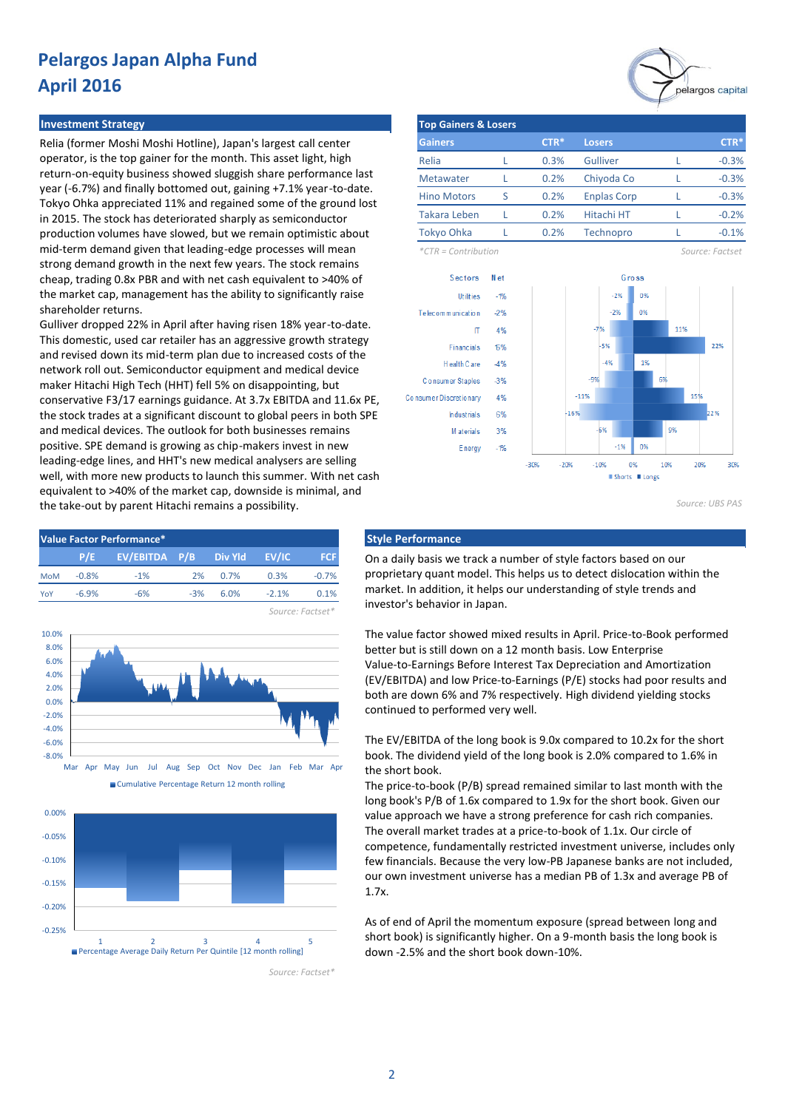#### **Investment Strategy**

Relia (former Moshi Moshi Hotline), Japan's largest call center operator, is the top gainer for the month. This asset light, high return-on-equity business showed sluggish share performance last year (-6.7%) and finally bottomed out, gaining +7.1% year-to-date. Tokyo Ohka appreciated 11% and regained some of the ground lost in 2015. The stock has deteriorated sharply as semiconductor production volumes have slowed, but we remain optimistic about mid-term demand given that leading-edge processes will mean strong demand growth in the next few years. The stock remains cheap, trading 0.8x PBR and with net cash equivalent to >40% of the market cap, management has the ability to significantly raise shareholder returns.

Gulliver dropped 22% in April after having risen 18% year-to-date. This domestic, used car retailer has an aggressive growth strategy and revised down its mid-term plan due to increased costs of the network roll out. Semiconductor equipment and medical device maker Hitachi High Tech (HHT) fell 5% on disappointing, but conservative F3/17 earnings guidance. At 3.7x EBITDA and 11.6x PE, the stock trades at a significant discount to global peers in both SPE and medical devices. The outlook for both businesses remains positive. SPE demand is growing as chip-makers invest in new leading-edge lines, and HHT's new medical analysers are selling well, with more new products to launch this summer. With net cash equivalent to >40% of the market cap, downside is minimal, and the take-out by parent Hitachi remains a possibility.









*Source: Factset\**

pelargos capital

| <b>Top Gainers &amp; Losers</b> |   |        |                    |  |         |  |  |  |  |  |  |
|---------------------------------|---|--------|--------------------|--|---------|--|--|--|--|--|--|
| <b>Gainers</b>                  |   | $CTR*$ | <b>Losers</b>      |  | $CTR*$  |  |  |  |  |  |  |
| Relia                           |   | 0.3%   | Gulliver           |  | $-0.3%$ |  |  |  |  |  |  |
| Metawater                       |   | 0.2%   | Chiyoda Co         |  | $-0.3%$ |  |  |  |  |  |  |
| <b>Hino Motors</b>              | ς | 0.2%   | <b>Enplas Corp</b> |  | $-0.3%$ |  |  |  |  |  |  |
| Takara Leben                    |   | 0.2%   | Hitachi HT         |  | $-0.2%$ |  |  |  |  |  |  |
| Tokyo Ohka                      |   | 0.2%   | Technopro          |  | $-0.1%$ |  |  |  |  |  |  |

*\*CTR = Contribution Source: Factset*



*Source: UBS PAS*

On a daily basis we track a number of style factors based on our proprietary quant model. This helps us to detect dislocation within the market. In addition, it helps our understanding of style trends and investor's behavior in Japan.

The value factor showed mixed results in April. Price-to-Book performed better but is still down on a 12 month basis. Low Enterprise Value-to-Earnings Before Interest Tax Depreciation and Amortization (EV/EBITDA) and low Price-to-Earnings (P/E) stocks had poor results and both are down 6% and 7% respectively. High dividend yielding stocks continued to performed very well.

The EV/EBITDA of the long book is 9.0x compared to 10.2x for the short book. The dividend yield of the long book is 2.0% compared to 1.6% in the short book.

The price-to-book (P/B) spread remained similar to last month with the long book's P/B of 1.6x compared to 1.9x for the short book. Given our value approach we have a strong preference for cash rich companies. The overall market trades at a price-to-book of 1.1x. Our circle of competence, fundamentally restricted investment universe, includes only few financials. Because the very low-PB Japanese banks are not included, our own investment universe has a median PB of 1.3x and average PB of 1.7x.

As of end of April the momentum exposure (spread between long and short book) is significantly higher. On a 9-month basis the long book is down -2.5% and the short book down-10%.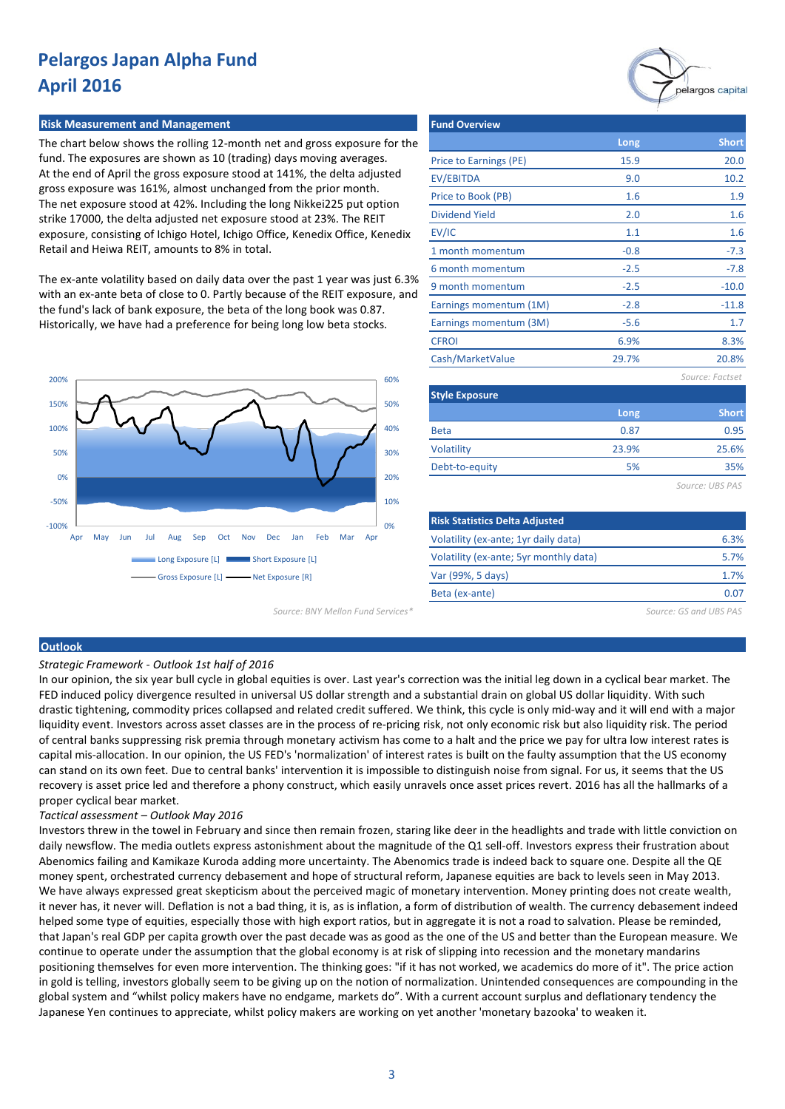#### **Risk Measurement and Management Fund Overview Fund Overview**

The chart below shows the rolling 12-month net and gross exposure for the fund. The exposures are shown as 10 (trading) days moving averages. At the end of April the gross exposure stood at 141%, the delta adjusted gross exposure was 161%, almost unchanged from the prior month. The net exposure stood at 42%. Including the long Nikkei225 put option strike 17000, the delta adjusted net exposure stood at 23%. The REIT exposure, consisting of Ichigo Hotel, Ichigo Office, Kenedix Office, Kenedix Retail and Heiwa REIT, amounts to 8% in total.

The ex-ante volatility based on daily data over the past 1 year was just 6.3% with an ex-ante beta of close to 0. Partly because of the REIT exposure, and the fund's lack of bank exposure, the beta of the long book was 0.87. Historically, we have had a preference for being long low beta stocks.



Price to Earnings (PE) EV/EBITDA Price to Book (PB) Dividend Yield EV/IC 1 month momentum 6 month momentum 9 month momentum Earnings momentum (1M) Earnings momentum (3M) **CFROI** Cash/MarketValue *Source: Factset* **Style Exposure** 1.1 -0.8 **Long** 15.9  $-2.5$ **Long** -5.6 9.0  $-2.8$ 1.6 2.0 -2.5 1.6 -7.3 -7.8 -10.0  $-11.8$ **Short** 20.0 1.6 10.2 1.9 **Short** 1.7 6.9% 8.3% 29.7% 20.8%

Beta Volatility Debt-to-equity 5% 23.9% 0.87 0.95 25.6% 35%

*Source: UBS PAS*

| <b>Risk Statistics Delta Adjusted</b>  |      |
|----------------------------------------|------|
| Volatility (ex-ante; 1yr daily data)   | 6.3% |
| Volatility (ex-ante; 5yr monthly data) | 5.7% |
| Var (99%, 5 days)                      | 1.7% |
| Beta (ex-ante)                         | 0.07 |
|                                        |      |

*Source: BNY Mellon Fund Services\* Source: GS and UBS PAS*

#### **Outlook**

*Strategic Framework - Outlook 1st half of 2016* 

In our opinion, the six year bull cycle in global equities is over. Last year's correction was the initial leg down in a cyclical bear market. The FED induced policy divergence resulted in universal US dollar strength and a substantial drain on global US dollar liquidity. With such drastic tightening, commodity prices collapsed and related credit suffered. We think, this cycle is only mid-way and it will end with a major liquidity event. Investors across asset classes are in the process of re-pricing risk, not only economic risk but also liquidity risk. The period of central banks suppressing risk premia through monetary activism has come to a halt and the price we pay for ultra low interest rates is capital mis-allocation. In our opinion, the US FED's 'normalization' of interest rates is built on the faulty assumption that the US economy can stand on its own feet. Due to central banks' intervention it is impossible to distinguish noise from signal. For us, it seems that the US recovery is asset price led and therefore a phony construct, which easily unravels once asset prices revert. 2016 has all the hallmarks of a proper cyclical bear market.

#### *Tactical assessment – Outlook May 2016*

Investors threw in the towel in February and since then remain frozen, staring like deer in the headlights and trade with little conviction on daily newsflow. The media outlets express astonishment about the magnitude of the Q1 sell-off. Investors express their frustration about Abenomics failing and Kamikaze Kuroda adding more uncertainty. The Abenomics trade is indeed back to square one. Despite all the QE money spent, orchestrated currency debasement and hope of structural reform, Japanese equities are back to levels seen in May 2013. We have always expressed great skepticism about the perceived magic of monetary intervention. Money printing does not create wealth, it never has, it never will. Deflation is not a bad thing, it is, as is inflation, a form of distribution of wealth. The currency debasement indeed helped some type of equities, especially those with high export ratios, but in aggregate it is not a road to salvation. Please be reminded, that Japan's real GDP per capita growth over the past decade was as good as the one of the US and better than the European measure. We continue to operate under the assumption that the global economy is at risk of slipping into recession and the monetary mandarins positioning themselves for even more intervention. The thinking goes: "if it has not worked, we academics do more of it". The price action in gold is telling, investors globally seem to be giving up on the notion of normalization. Unintended consequences are compounding in the global system and "whilst policy makers have no endgame, markets do". With a current account surplus and deflationary tendency the Japanese Yen continues to appreciate, whilst policy makers are working on yet another 'monetary bazooka' to weaken it.

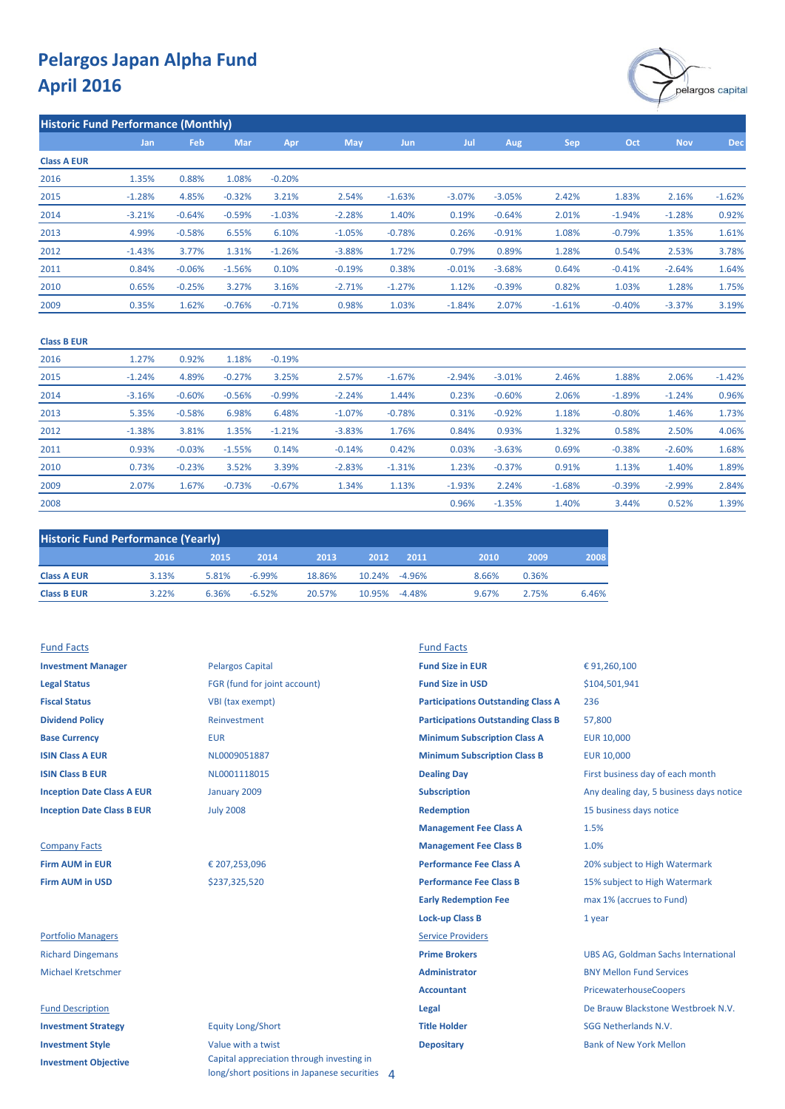

|                    | <b>Historic Fund Performance (Monthly)</b> |          |          |          |            |            |          |          |            |          |            |            |  |  |  |
|--------------------|--------------------------------------------|----------|----------|----------|------------|------------|----------|----------|------------|----------|------------|------------|--|--|--|
|                    | Jan                                        | Feb      | Mar      | Apr      | <b>May</b> | <b>Jun</b> | Jul      | Aug      | <b>Sep</b> | Oct      | <b>Nov</b> | <b>Dec</b> |  |  |  |
| <b>Class A EUR</b> |                                            |          |          |          |            |            |          |          |            |          |            |            |  |  |  |
| 2016               | 1.35%                                      | 0.88%    | 1.08%    | $-0.20%$ |            |            |          |          |            |          |            |            |  |  |  |
| 2015               | $-1.28%$                                   | 4.85%    | $-0.32%$ | 3.21%    | 2.54%      | $-1.63%$   | $-3.07%$ | $-3.05%$ | 2.42%      | 1.83%    | 2.16%      | $-1.62%$   |  |  |  |
| 2014               | $-3.21%$                                   | $-0.64%$ | $-0.59%$ | $-1.03%$ | $-2.28%$   | 1.40%      | 0.19%    | $-0.64%$ | 2.01%      | $-1.94%$ | $-1.28%$   | 0.92%      |  |  |  |
| 2013               | 4.99%                                      | $-0.58%$ | 6.55%    | 6.10%    | $-1.05%$   | $-0.78%$   | 0.26%    | $-0.91%$ | 1.08%      | $-0.79%$ | 1.35%      | 1.61%      |  |  |  |
| 2012               | $-1.43%$                                   | 3.77%    | 1.31%    | $-1.26%$ | $-3.88%$   | 1.72%      | 0.79%    | 0.89%    | 1.28%      | 0.54%    | 2.53%      | 3.78%      |  |  |  |
| 2011               | 0.84%                                      | $-0.06%$ | $-1.56%$ | 0.10%    | $-0.19%$   | 0.38%      | $-0.01%$ | $-3.68%$ | 0.64%      | $-0.41%$ | $-2.64%$   | 1.64%      |  |  |  |
| 2010               | 0.65%                                      | $-0.25%$ | 3.27%    | 3.16%    | $-2.71%$   | $-1.27%$   | 1.12%    | $-0.39%$ | 0.82%      | 1.03%    | 1.28%      | 1.75%      |  |  |  |
| 2009               | 0.35%                                      | 1.62%    | $-0.76%$ | $-0.71%$ | 0.98%      | 1.03%      | $-1.84%$ | 2.07%    | $-1.61%$   | $-0.40%$ | $-3.37%$   | 3.19%      |  |  |  |
|                    |                                            |          |          |          |            |            |          |          |            |          |            |            |  |  |  |

#### **Class B EUR**

| 2016 | 1.27%    | 0.92%    | 1.18%    | $-0.19%$ |          |          |          |          |          |          |          |          |
|------|----------|----------|----------|----------|----------|----------|----------|----------|----------|----------|----------|----------|
| 2015 | $-1.24%$ | 4.89%    | $-0.27%$ | 3.25%    | 2.57%    | $-1.67%$ | $-2.94%$ | $-3.01%$ | 2.46%    | 1.88%    | 2.06%    | $-1.42%$ |
| 2014 | $-3.16%$ | $-0.60%$ | $-0.56%$ | $-0.99%$ | $-2.24%$ | 1.44%    | 0.23%    | $-0.60%$ | 2.06%    | $-1.89%$ | $-1.24%$ | 0.96%    |
| 2013 | 5.35%    | $-0.58%$ | 6.98%    | 6.48%    | $-1.07%$ | $-0.78%$ | 0.31%    | $-0.92%$ | 1.18%    | $-0.80%$ | 1.46%    | 1.73%    |
| 2012 | $-1.38%$ | 3.81%    | 1.35%    | $-1.21%$ | $-3.83%$ | 1.76%    | 0.84%    | 0.93%    | 1.32%    | 0.58%    | 2.50%    | 4.06%    |
| 2011 | 0.93%    | $-0.03%$ | $-1.55%$ | 0.14%    | $-0.14%$ | 0.42%    | 0.03%    | $-3.63%$ | 0.69%    | $-0.38%$ | $-2.60%$ | 1.68%    |
| 2010 | 0.73%    | $-0.23%$ | 3.52%    | 3.39%    | $-2.83%$ | $-1.31%$ | 1.23%    | $-0.37%$ | 0.91%    | 1.13%    | 1.40%    | 1.89%    |
| 2009 | 2.07%    | 1.67%    | $-0.73%$ | $-0.67%$ | 1.34%    | 1.13%    | $-1.93%$ | 2.24%    | $-1.68%$ | $-0.39%$ | $-2.99%$ | 2.84%    |
| 2008 |          |          |          |          |          |          | 0.96%    | $-1.35%$ | 1.40%    | 3.44%    | 0.52%    | 1.39%    |

|                    | <b>Historic Fund Performance (Yearly)</b> |       |          |        |               |      |       |       |       |  |  |  |  |  |
|--------------------|-------------------------------------------|-------|----------|--------|---------------|------|-------|-------|-------|--|--|--|--|--|
|                    | 2016                                      | 2015/ | 2014     | 2013   | 2012          | 2011 | 2010  | 2009  | 2008  |  |  |  |  |  |
| <b>Class A EUR</b> | 3.13%                                     | 5.81% | $-6.99%$ | 18.86% | 10.24% -4.96% |      | 8.66% | 0.36% |       |  |  |  |  |  |
| <b>Class B EUR</b> | 3.22%                                     | 6.36% | $-6.52%$ | 20.57% | 10.95% -4.48% |      | 9.67% | 2.75% | 6.46% |  |  |  |  |  |

| <b>Investment Manager</b>         |
|-----------------------------------|
| <b>Legal Status</b>               |
| <b>Fiscal Status</b>              |
| <b>Dividend Policy</b>            |
| <b>Base Currency</b>              |
| <b>ISIN Class A FUR</b>           |
| <b>ISIN Class B FUR</b>           |
| <b>Inception Date Class A EUR</b> |
| <b>Inception Date Class B EUR</b> |
|                                   |

## **Company Facts Firm AUM in USD**

#### **Fund Description**

| <b>Investment Strategy</b>  |
|-----------------------------|
| <b>Investment Style</b>     |
| <b>Investment Objective</b> |

# **Investment Manager Capital Size in EURR Size in EURR Size in EURR Size in EURR Size in EURR Size in EURR Size in EURR Size in EURR Size in EURR Size in EURR Size in EURR Size in EURR Size in EURR Size in EURR Size in EURR FGR (fund for joint account) VBI (tax exempt) Dividend Policy** Reinvestment July 2008 January 2009

### **Equity Long/Short Investment Style Value with a twist <b>Depositary Depositary** Bank of New York Mellon Capital appreciation through investing in long/short positions in Japanese securities 4

### Fund Facts Fund Facts

| <b>Investment Manager</b>         | <b>Pelargos Capital</b>      | <b>Fund Size in EUR</b>                   | €91,260,100                                |
|-----------------------------------|------------------------------|-------------------------------------------|--------------------------------------------|
| <b>Legal Status</b>               | FGR (fund for joint account) | <b>Fund Size in USD</b>                   | \$104,501,941                              |
| <b>Fiscal Status</b>              | VBI (tax exempt)             | <b>Participations Outstanding Class A</b> | 236                                        |
| <b>Dividend Policy</b>            | Reinvestment                 | <b>Participations Outstanding Class B</b> | 57,800                                     |
| <b>Base Currency</b>              | <b>EUR</b>                   | <b>Minimum Subscription Class A</b>       | <b>EUR 10,000</b>                          |
| <b>ISIN Class A EUR</b>           | NL0009051887                 | <b>Minimum Subscription Class B</b>       | <b>EUR 10,000</b>                          |
| <b>ISIN Class B EUR</b>           | NL0001118015                 | <b>Dealing Day</b>                        | First business day of each month           |
| <b>Inception Date Class A EUR</b> | January 2009                 | <b>Subscription</b>                       | Any dealing day, 5 business days notice    |
| <b>Inception Date Class B EUR</b> | <b>July 2008</b>             | <b>Redemption</b>                         | 15 business days notice                    |
|                                   |                              | <b>Management Fee Class A</b>             | 1.5%                                       |
| <b>Company Facts</b>              |                              | <b>Management Fee Class B</b>             | 1.0%                                       |
| <b>Firm AUM in EUR</b>            | € 207,253,096                | <b>Performance Fee Class A</b>            | 20% subject to High Watermark              |
| <b>Firm AUM in USD</b>            | \$237,325,520                | <b>Performance Fee Class B</b>            | 15% subject to High Watermark              |
|                                   |                              | <b>Early Redemption Fee</b>               | max 1% (accrues to Fund)                   |
|                                   |                              | <b>Lock-up Class B</b>                    | 1 year                                     |
| <b>Portfolio Managers</b>         |                              | <b>Service Providers</b>                  |                                            |
| <b>Richard Dingemans</b>          |                              | <b>Prime Brokers</b>                      | <b>UBS AG, Goldman Sachs International</b> |
| <b>Michael Kretschmer</b>         |                              | <b>Administrator</b>                      | <b>BNY Mellon Fund Services</b>            |
|                                   |                              | <b>Accountant</b>                         | PricewaterhouseCoopers                     |
| <b>Fund Description</b>           |                              | Legal                                     | De Brauw Blackstone Westbroek N.V.         |
| <b>Investment Strategy</b>        | <b>Equity Long/Short</b>     | <b>Title Holder</b>                       | <b>SGG Netherlands N.V.</b>                |
|                                   |                              |                                           |                                            |